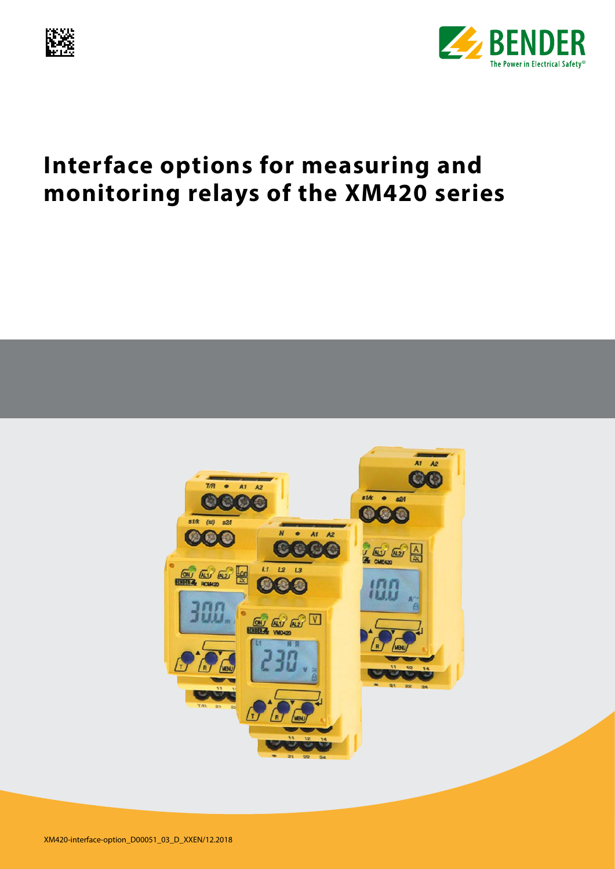



# **Interface options for measuring and monitoring relays of the XM420 series**

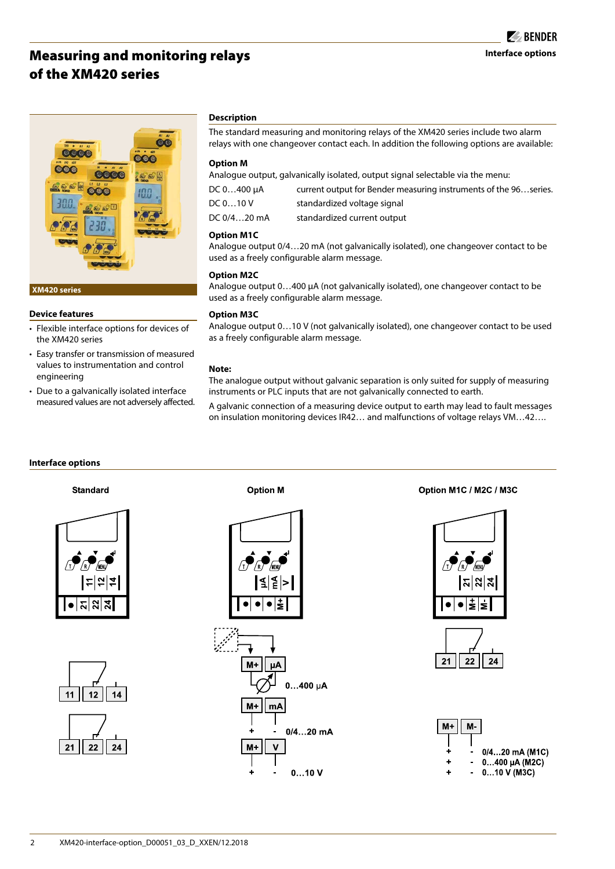## Measuring and monitoring relays of the XM420 series



#### **XM420 series**

#### **Device features**

- Flexible interface options for devices of the XM420 series
- Easy transfer or transmission of measured values to instrumentation and control engineering
- Due to a galvanically isolated interface measured values are not adversely affected.

#### **Description**

The standard measuring and monitoring relays of the XM420 series include two alarm relays with one changeover contact each. In addition the following options are available:

#### **Option M**

Analogue output, galvanically isolated, output signal selectable via the menu:

| DC 0400 µA  | current output for Bender measuring instruments of the 96series. |
|-------------|------------------------------------------------------------------|
| DC 010 V    | standardized voltage signal                                      |
| DC 0/420 mA | standardized current output                                      |

#### **Option M1C**

Analogue output 0/4…20 mA (not galvanically isolated), one changeover contact to be used as a freely configurable alarm message.

#### **Option M2C**

Analogue output 0…400 µA (not galvanically isolated), one changeover contact to be used as a freely configurable alarm message.

#### **Option M3C**

Analogue output 0…10 V (not galvanically isolated), one changeover contact to be used as a freely configurable alarm message.

#### **Note:**

The analogue output without galvanic separation is only suited for supply of measuring instruments or PLC inputs that are not galvanically connected to earth.

A galvanic connection of a measuring device output to earth may lead to fault messages on insulation monitoring devices IR42… and malfunctions of voltage relays VM…42….

#### **Interface options**

#### **Standard**







**Option M** 



Option M1C / M2C / M3C





| $M+  M- $ |                 |
|-----------|-----------------|
|           |                 |
| ٠         | 0/420 mA (M1C)  |
| ٠         | $0400$ µA (M2C) |
|           | 010 V (M3C)     |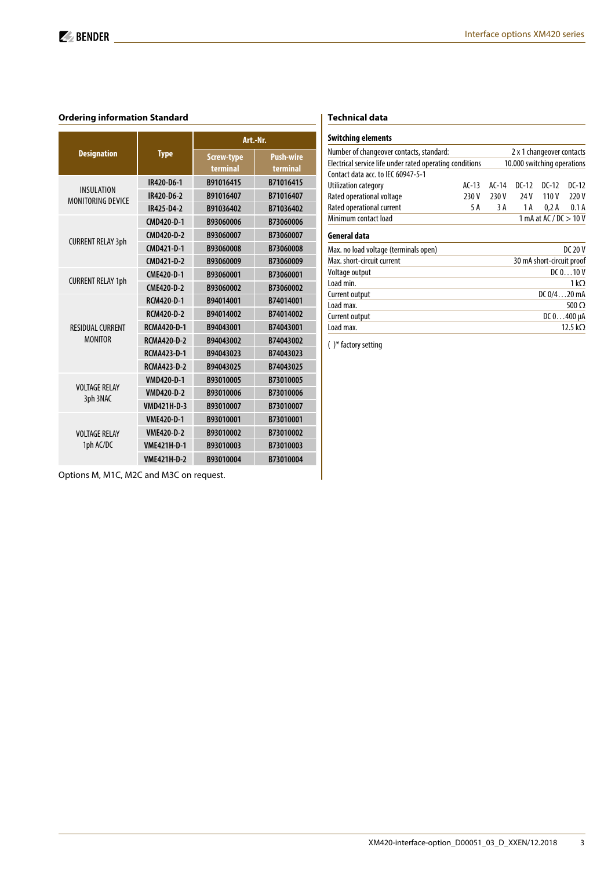#### **Ordering information Standard**

|                                        |                    | Art.-Nr.                      |                              |  |
|----------------------------------------|--------------------|-------------------------------|------------------------------|--|
| <b>Designation</b>                     | <b>Type</b>        | <b>Screw-type</b><br>terminal | <b>Push-wire</b><br>terminal |  |
| <b>INSULATION</b><br>MONITORING DEVICE | IR420-D6-1         | B91016415                     | B71016415                    |  |
|                                        | IR420-D6-2         | B91016407                     | B71016407                    |  |
|                                        | IR425-D4-2         | B91036402                     | B71036402                    |  |
|                                        | CMD420-D-1         | B93060006                     | B73060006                    |  |
| <b>CURRENT RELAY 3ph</b>               | CMD420-D-2         | B93060007                     | B73060007                    |  |
|                                        | CMD421-D-1         | B93060008                     | B73060008                    |  |
|                                        | CMD421-D-2         | B93060009                     | B73060009                    |  |
|                                        | CME420-D-1         | B93060001                     | B73060001                    |  |
| <b>CURRENT RELAY 1ph</b>               | CME420-D-2         | B93060002                     | B73060002                    |  |
|                                        | RCM420-D-1         | B94014001                     | B74014001                    |  |
|                                        | <b>RCM420-D-2</b>  | B94014002                     | B74014002                    |  |
| <b>RESIDUAL CURRENT</b>                | <b>RCMA420-D-1</b> | B94043001                     | B74043001                    |  |
| <b>MONITOR</b>                         | <b>RCMA420-D-2</b> | B94043002                     | B74043002                    |  |
|                                        | <b>RCMA423-D-1</b> | B94043023                     | B74043023                    |  |
|                                        | <b>RCMA423-D-2</b> | B94043025                     | B74043025                    |  |
|                                        | <b>VMD420-D-1</b>  | B93010005                     | B73010005                    |  |
| <b>VOLTAGE RELAY</b>                   | <b>VMD420-D-2</b>  | B93010006                     | B73010006                    |  |
| 3ph 3NAC                               | <b>VMD421H-D-3</b> | B93010007                     | B73010007                    |  |
|                                        | <b>VME420-D-1</b>  | B93010001                     | B73010001                    |  |
| <b>VOLTAGE RELAY</b>                   | <b>VME420-D-2</b>  | B93010002                     | B73010002                    |  |
| 1ph AC/DC                              | <b>VME421H-D-1</b> | B93010003                     | B73010003                    |  |
|                                        | <b>VME421H-D-2</b> | B93010004                     | B73010004                    |  |

#### **Technical data**

| Switching elements                                       |                             |                          |                |                 |         |  |  |
|----------------------------------------------------------|-----------------------------|--------------------------|----------------|-----------------|---------|--|--|
| Number of changeover contacts, standard:                 | 2 x 1 changeover contacts   |                          |                |                 |         |  |  |
| Electrical service life under rated operating conditions | 10.000 switching operations |                          |                |                 |         |  |  |
| Contact data acc. to IFC 60947-5-1                       |                             |                          |                |                 |         |  |  |
| Utilization category                                     | $AC-13$                     | $AC-14$                  | $DC-12$        | $DC-12$         | $DC-12$ |  |  |
| Rated operational voltage                                | 230 V                       | 230 V                    | 24 V           | 110V            | 220 V   |  |  |
| Rated operational current                                | 5 A                         | 3 A                      | 1 A            | 0.2A            | 0.1A    |  |  |
| Minimum contact load                                     |                             | 1 mA at AC / $DC > 10$ V |                |                 |         |  |  |
| General data                                             |                             |                          |                |                 |         |  |  |
| Max. no load voltage (terminals open)                    | DC 20 V                     |                          |                |                 |         |  |  |
| Max. short-circuit current                               | 30 mA short-circuit proof   |                          |                |                 |         |  |  |
| Voltage output                                           | DC 010 V                    |                          |                |                 |         |  |  |
| Load min.                                                |                             |                          |                | 1 k $\Omega$    |         |  |  |
| Current output                                           |                             |                          | $DC_0/4$ 20 mA |                 |         |  |  |
| Load max.                                                |                             |                          |                |                 | 500 Ω   |  |  |
| Current output                                           |                             |                          |                | $DC 0400 \mu A$ |         |  |  |
| Load max.                                                |                             |                          |                | 12.5 k $\Omega$ |         |  |  |

( )\* factory setting

Options M, M1C, M2C and M3C on request.